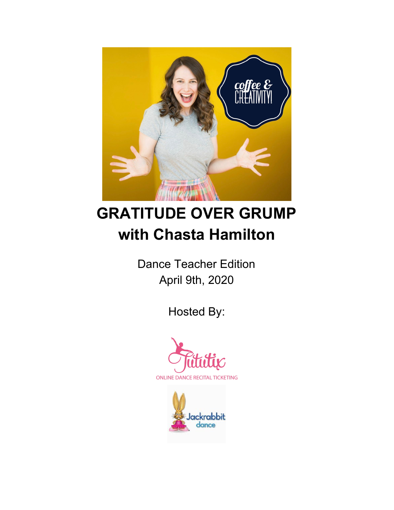

# **GRATITUDE OVER GRUMP with Chasta Hamilton**

Dance Teacher Edition April 9th, 2020

Hosted By:



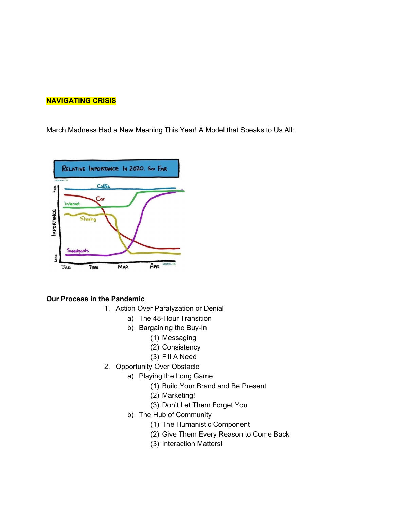# **NAVIGATING CRISIS**

March Madness Had a New Meaning This Year! A Model that Speaks to Us All:



### **Our Process in the Pandemic**

- 1. Action Over Paralyzation or Denial
	- a) The 48-Hour Transition
	- b) Bargaining the Buy-In
		- (1) Messaging
			- (2) Consistency
			- (3) Fill A Need
- 2. Opportunity Over Obstacle
	- a) Playing the Long Game
		- (1) Build Your Brand and Be Present
		- (2) Marketing!
		- (3) Don't Let Them Forget You
	- b) The Hub of Community
		- (1) The Humanistic Component
		- (2) Give Them Every Reason to Come Back
		- (3) Interaction Matters!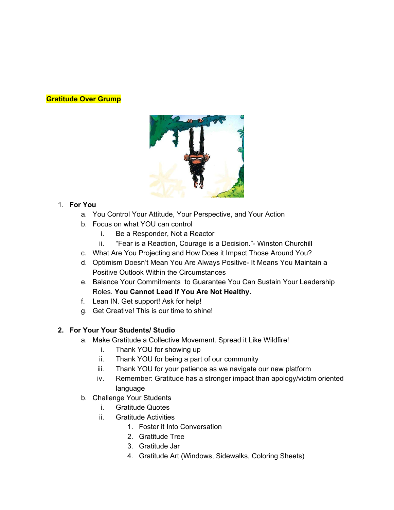# **Gratitude Over Grump**



# 1. **For You**

- a. You Control Your Attitude, Your Perspective, and Your Action
- b. Focus on what YOU can control
	- i. Be a Responder, Not a Reactor
	- ii. "Fear is a Reaction, Courage is a Decision."- Winston Churchill
- c. What Are You Projecting and How Does it Impact Those Around You?
- d. Optimism Doesn't Mean You Are Always Positive- It Means You Maintain a Positive Outlook Within the Circumstances
- e. Balance Your Commitments to Guarantee You Can Sustain Your Leadership Roles. **You Cannot Lead If You Are Not Healthy.**
- f. Lean IN. Get support! Ask for help!
- g. Get Creative! This is our time to shine!

# **2. For Your Your Students/ Studio**

- a. Make Gratitude a Collective Movement. Spread it Like Wildfire!
	- i. Thank YOU for showing up
	- ii. Thank YOU for being a part of our community
	- iii. Thank YOU for your patience as we navigate our new platform
	- iv. Remember: Gratitude has a stronger impact than apology/victim oriented language
- b. Challenge Your Students
	- i. Gratitude Quotes
	- ii. Gratitude Activities
		- 1. Foster it Into Conversation
		- 2. Gratitude Tree
		- 3. Gratitude Jar
		- 4. Gratitude Art (Windows, Sidewalks, Coloring Sheets)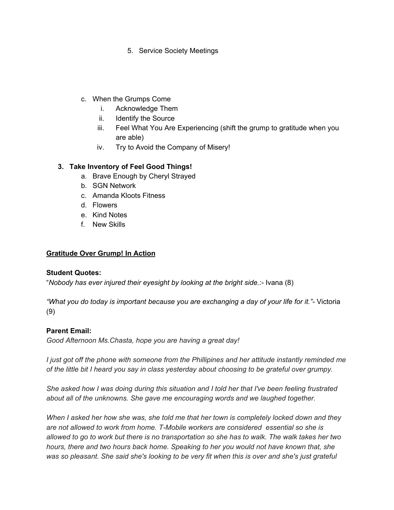- 5. Service Society Meetings
- c. When the Grumps Come
	- i. Acknowledge Them
	- ii. Identify the Source
	- iii. Feel What You Are Experiencing (shift the grump to gratitude when you are able)
	- iv. Try to Avoid the Company of Misery!

# **3. Take Inventory of Feel Good Things!**

- a. Brave Enough by Cheryl Strayed
- b. SGN Network
- c. Amanda Kloots Fitness
- d. Flowers
- e. Kind Notes
- f. New Skills

## **Gratitude Over Grump! In Action**

### **Student Quotes:**

"*Nobody has ever injured their eyesight by looking at the bright side.:-* Ivana (8)

*"What you do today is important because you are exchanging a day of your life for it."-* Victoria (9)

# **Parent Email:**

*Good Afternoon Ms.Chasta, hope you are having a great day!*

*I just got off the phone with someone from the Phillipines and her attitude instantly reminded me of the little bit I heard you say in class yesterday about choosing to be grateful over grumpy.*

*She asked how I was doing during this situation and I told her that I've been feeling frustrated about all of the unknowns. She gave me encouraging words and we laughed together.*

*When I asked her how she was, she told me that her town is completely locked down and they are not allowed to work from home. T-Mobile workers are considered essential so she is* allowed to go to work but there is no transportation so she has to walk. The walk takes her two *hours, there and two hours back home. Speaking to her you would not have known that, she* was so pleasant. She said she's looking to be very fit when this is over and she's just grateful